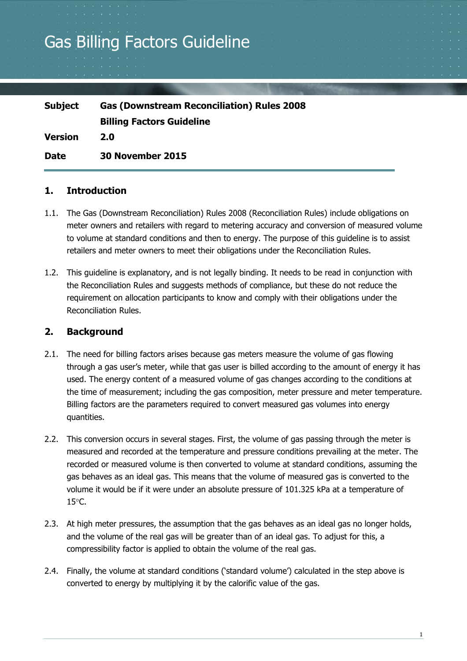# Gas Billing Factors Guideline

| <b>Subject</b> | <b>Gas (Downstream Reconciliation) Rules 2008</b> |
|----------------|---------------------------------------------------|
|                | <b>Billing Factors Guideline</b>                  |
| <b>Version</b> | <b>2.0</b>                                        |
| <b>Date</b>    | <b>30 November 2015</b>                           |

## **1. Introduction**

- 1.1. The Gas (Downstream Reconciliation) Rules 2008 (Reconciliation Rules) include obligations on meter owners and retailers with regard to metering accuracy and conversion of measured volume to volume at standard conditions and then to energy. The purpose of this guideline is to assist retailers and meter owners to meet their obligations under the Reconciliation Rules.
- 1.2. This guideline is explanatory, and is not legally binding. It needs to be read in conjunction with the Reconciliation Rules and suggests methods of compliance, but these do not reduce the requirement on allocation participants to know and comply with their obligations under the Reconciliation Rules.

# **2. Background**

- 2.1. The need for billing factors arises because gas meters measure the volume of gas flowing through a gas user's meter, while that gas user is billed according to the amount of energy it has used. The energy content of a measured volume of gas changes according to the conditions at the time of measurement; including the gas composition, meter pressure and meter temperature. Billing factors are the parameters required to convert measured gas volumes into energy quantities.
- 2.2. This conversion occurs in several stages. First, the volume of gas passing through the meter is measured and recorded at the temperature and pressure conditions prevailing at the meter. The recorded or measured volume is then converted to volume at standard conditions, assuming the gas behaves as an ideal gas. This means that the volume of measured gas is converted to the volume it would be if it were under an absolute pressure of 101.325 kPa at a temperature of  $15^{\circ}$ C.
- 2.3. At high meter pressures, the assumption that the gas behaves as an ideal gas no longer holds, and the volume of the real gas will be greater than of an ideal gas. To adjust for this, a compressibility factor is applied to obtain the volume of the real gas.
- 2.4. Finally, the volume at standard conditions ('standard volume') calculated in the step above is converted to energy by multiplying it by the calorific value of the gas.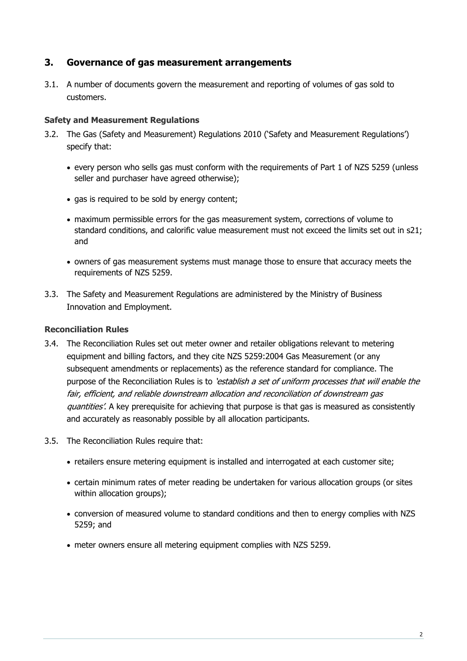# **3. Governance of gas measurement arrangements**

3.1. A number of documents govern the measurement and reporting of volumes of gas sold to customers.

## **Safety and Measurement Regulations**

- 3.2. The Gas (Safety and Measurement) Regulations 2010 ('Safety and Measurement Regulations') specify that:
	- every person who sells gas must conform with the requirements of Part 1 of NZS 5259 (unless seller and purchaser have agreed otherwise);
	- gas is required to be sold by energy content;
	- maximum permissible errors for the gas measurement system, corrections of volume to standard conditions, and calorific value measurement must not exceed the limits set out in s21; and
	- owners of gas measurement systems must manage those to ensure that accuracy meets the requirements of NZS 5259.
- 3.3. The Safety and Measurement Regulations are administered by the Ministry of Business Innovation and Employment.

## **Reconciliation Rules**

- 3.4. The Reconciliation Rules set out meter owner and retailer obligations relevant to metering equipment and billing factors, and they cite NZS 5259:2004 Gas Measurement (or any subsequent amendments or replacements) as the reference standard for compliance. The purpose of the Reconciliation Rules is to 'establish a set of uniform processes that will enable the fair, efficient, and reliable downstream allocation and reconciliation of downstream gas quantities'. A key prerequisite for achieving that purpose is that gas is measured as consistently and accurately as reasonably possible by all allocation participants.
- 3.5. The Reconciliation Rules require that:
	- retailers ensure metering equipment is installed and interrogated at each customer site;
	- certain minimum rates of meter reading be undertaken for various allocation groups (or sites within allocation groups);
	- conversion of measured volume to standard conditions and then to energy complies with NZS 5259; and
	- meter owners ensure all metering equipment complies with NZS 5259.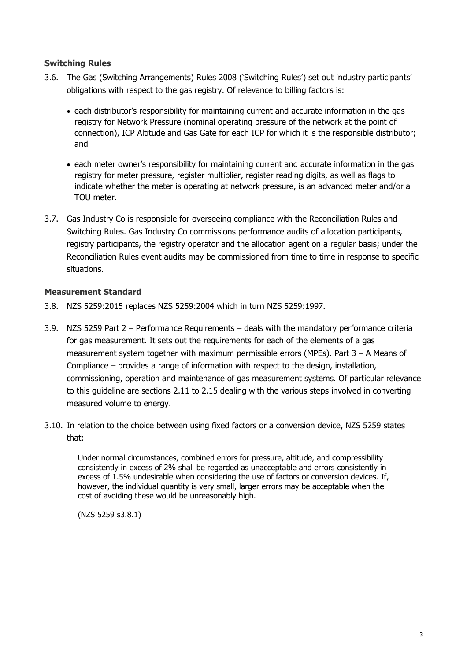## **Switching Rules**

- 3.6. The Gas (Switching Arrangements) Rules 2008 ('Switching Rules') set out industry participants' obligations with respect to the gas registry. Of relevance to billing factors is:
	- each distributor's responsibility for maintaining current and accurate information in the gas registry for Network Pressure (nominal operating pressure of the network at the point of connection), ICP Altitude and Gas Gate for each ICP for which it is the responsible distributor; and
	- each meter owner's responsibility for maintaining current and accurate information in the gas registry for meter pressure, register multiplier, register reading digits, as well as flags to indicate whether the meter is operating at network pressure, is an advanced meter and/or a TOU meter
- 3.7. Gas Industry Co is responsible for overseeing compliance with the Reconciliation Rules and Switching Rules. Gas Industry Co commissions performance audits of allocation participants, registry participants, the registry operator and the allocation agent on a regular basis; under the Reconciliation Rules event audits may be commissioned from time to time in response to specific situations.

## **Measurement Standard**

- 3.8. NZS 5259:2015 replaces NZS 5259:2004 which in turn NZS 5259:1997.
- 3.9. NZS 5259 Part 2 Performance Requirements deals with the mandatory performance criteria for gas measurement. It sets out the requirements for each of the elements of a gas measurement system together with maximum permissible errors (MPEs). Part 3 – A Means of Compliance – provides a range of information with respect to the design, installation, commissioning, operation and maintenance of gas measurement systems. Of particular relevance to this guideline are sections 2.11 to 2.15 dealing with the various steps involved in converting measured volume to energy.
- 3.10. In relation to the choice between using fixed factors or a conversion device, NZS 5259 states that:

Under normal circumstances, combined errors for pressure, altitude, and compressibility consistently in excess of 2% shall be regarded as unacceptable and errors consistently in excess of 1.5% undesirable when considering the use of factors or conversion devices. If, however, the individual quantity is very small, larger errors may be acceptable when the cost of avoiding these would be unreasonably high.

(NZS 5259 s3.8.1)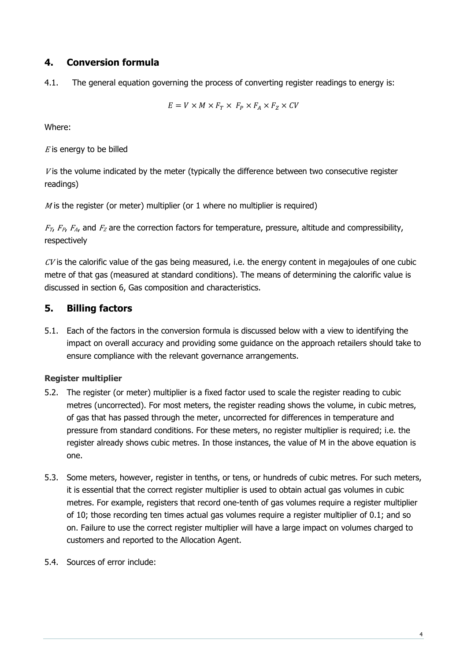# **4. Conversion formula**

4.1. The general equation governing the process of converting register readings to energy is:

$$
E = V \times M \times F_T \times F_P \times F_A \times F_Z \times CV
$$

Where:

 $E$  is energy to be billed

 $V$  is the volume indicated by the meter (typically the difference between two consecutive register readings)

 $M$  is the register (or meter) multiplier (or 1 where no multiplier is required)

 $F_T$ ,  $F_{P_1}$ ,  $F_{A_1}$  and  $F_Z$  are the correction factors for temperature, pressure, altitude and compressibility, respectively

 $CV$  is the calorific value of the gas being measured, i.e. the energy content in megajoules of one cubic metre of that gas (measured at standard conditions). The means of determining the calorific value is discussed in section 6, Gas composition and characteristics.

# **5. Billing factors**

5.1. Each of the factors in the conversion formula is discussed below with a view to identifying the impact on overall accuracy and providing some guidance on the approach retailers should take to ensure compliance with the relevant governance arrangements.

## **Register multiplier**

- 5.2. The register (or meter) multiplier is a fixed factor used to scale the register reading to cubic metres (uncorrected). For most meters, the register reading shows the volume, in cubic metres, of gas that has passed through the meter, uncorrected for differences in temperature and pressure from standard conditions. For these meters, no register multiplier is required; i.e. the register already shows cubic metres. In those instances, the value of M in the above equation is one.
- 5.3. Some meters, however, register in tenths, or tens, or hundreds of cubic metres. For such meters, it is essential that the correct register multiplier is used to obtain actual gas volumes in cubic metres. For example, registers that record one-tenth of gas volumes require a register multiplier of 10; those recording ten times actual gas volumes require a register multiplier of 0.1; and so on. Failure to use the correct register multiplier will have a large impact on volumes charged to customers and reported to the Allocation Agent.
- 5.4. Sources of error include: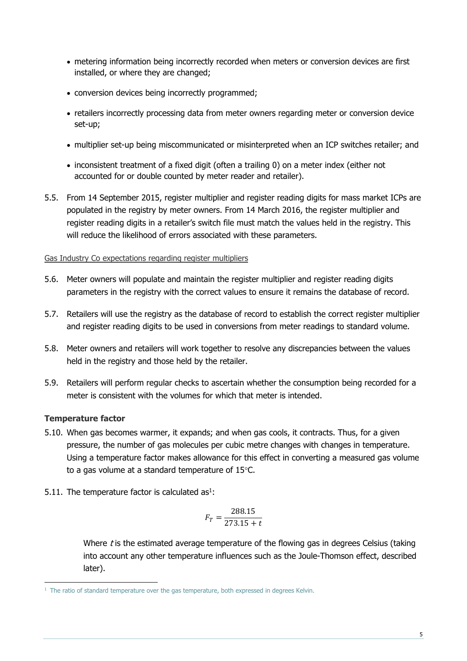- metering information being incorrectly recorded when meters or conversion devices are first installed, or where they are changed;
- conversion devices being incorrectly programmed;
- retailers incorrectly processing data from meter owners regarding meter or conversion device set-up;
- multiplier set-up being miscommunicated or misinterpreted when an ICP switches retailer; and
- inconsistent treatment of a fixed digit (often a trailing 0) on a meter index (either not accounted for or double counted by meter reader and retailer).
- 5.5. From 14 September 2015, register multiplier and register reading digits for mass market ICPs are populated in the registry by meter owners. From 14 March 2016, the register multiplier and register reading digits in a retailer's switch file must match the values held in the registry. This will reduce the likelihood of errors associated with these parameters.

#### Gas Industry Co expectations regarding register multipliers

- 5.6. Meter owners will populate and maintain the register multiplier and register reading digits parameters in the registry with the correct values to ensure it remains the database of record.
- 5.7. Retailers will use the registry as the database of record to establish the correct register multiplier and register reading digits to be used in conversions from meter readings to standard volume.
- 5.8. Meter owners and retailers will work together to resolve any discrepancies between the values held in the registry and those held by the retailer.
- 5.9. Retailers will perform regular checks to ascertain whether the consumption being recorded for a meter is consistent with the volumes for which that meter is intended.

## **Temperature factor**

- 5.10. When gas becomes warmer, it expands; and when gas cools, it contracts. Thus, for a given pressure, the number of gas molecules per cubic metre changes with changes in temperature. Using a temperature factor makes allowance for this effect in converting a measured gas volume to a gas volume at a standard temperature of  $15^{\circ}$ C.
- 5.11. The temperature factor is calculated  $as<sup>1</sup>$ :

$$
F_T = \frac{288.15}{273.15 + t}
$$

Where  $t$  is the estimated average temperature of the flowing gas in degrees Celsius (taking into account any other temperature influences such as the Joule-Thomson effect, described later).

  $<sup>1</sup>$  The ratio of standard temperature over the gas temperature, both expressed in degrees Kelvin.</sup>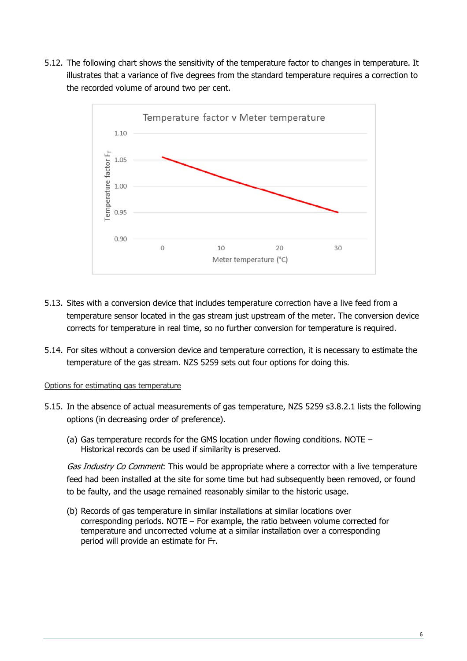5.12. The following chart shows the sensitivity of the temperature factor to changes in temperature. It illustrates that a variance of five degrees from the standard temperature requires a correction to the recorded volume of around two per cent.



- 5.13. Sites with a conversion device that includes temperature correction have a live feed from a temperature sensor located in the gas stream just upstream of the meter. The conversion device corrects for temperature in real time, so no further conversion for temperature is required.
- 5.14. For sites without a conversion device and temperature correction, it is necessary to estimate the temperature of the gas stream. NZS 5259 sets out four options for doing this.

#### Options for estimating gas temperature

- 5.15. In the absence of actual measurements of gas temperature, NZS 5259 s3.8.2.1 lists the following options (in decreasing order of preference).
	- (a) Gas temperature records for the GMS location under flowing conditions. NOTE Historical records can be used if similarity is preserved.

Gas Industry Co Comment: This would be appropriate where a corrector with a live temperature feed had been installed at the site for some time but had subsequently been removed, or found to be faulty, and the usage remained reasonably similar to the historic usage.

(b) Records of gas temperature in similar installations at similar locations over corresponding periods. NOTE – For example, the ratio between volume corrected for temperature and uncorrected volume at a similar installation over a corresponding period will provide an estimate for  $F_T$ .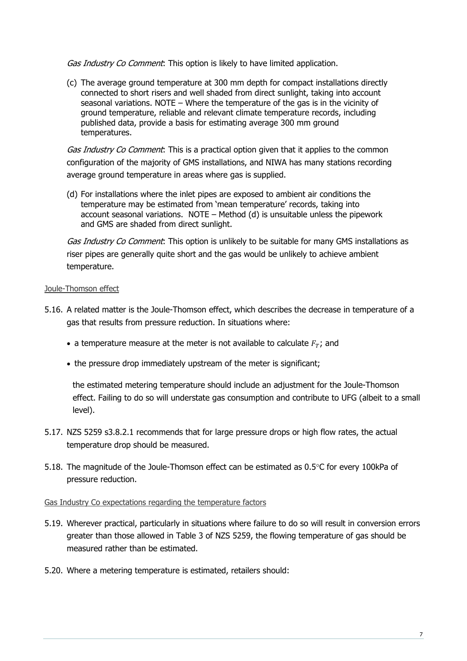Gas Industry Co Comment: This option is likely to have limited application.

(c) The average ground temperature at 300 mm depth for compact installations directly connected to short risers and well shaded from direct sunlight, taking into account seasonal variations. NOTE – Where the temperature of the gas is in the vicinity of ground temperature, reliable and relevant climate temperature records, including published data, provide a basis for estimating average 300 mm ground temperatures.

Gas Industry Co Comment: This is a practical option given that it applies to the common configuration of the majority of GMS installations, and NIWA has many stations recording average ground temperature in areas where gas is supplied.

(d) For installations where the inlet pipes are exposed to ambient air conditions the temperature may be estimated from 'mean temperature' records, taking into account seasonal variations. NOTE – Method (d) is unsuitable unless the pipework and GMS are shaded from direct sunlight.

Gas Industry Co Comment. This option is unlikely to be suitable for many GMS installations as riser pipes are generally quite short and the gas would be unlikely to achieve ambient temperature.

#### Joule-Thomson effect

- 5.16. A related matter is the Joule-Thomson effect, which describes the decrease in temperature of a gas that results from pressure reduction. In situations where:
	- a temperature measure at the meter is not available to calculate  $F<sub>T</sub>$ ; and
	- the pressure drop immediately upstream of the meter is significant;

the estimated metering temperature should include an adjustment for the Joule-Thomson effect. Failing to do so will understate gas consumption and contribute to UFG (albeit to a small level).

- 5.17. NZS 5259 s3.8.2.1 recommends that for large pressure drops or high flow rates, the actual temperature drop should be measured.
- 5.18. The magnitude of the Joule-Thomson effect can be estimated as  $0.5^{\circ}$ C for every 100kPa of pressure reduction.

#### Gas Industry Co expectations regarding the temperature factors

- 5.19. Wherever practical, particularly in situations where failure to do so will result in conversion errors greater than those allowed in Table 3 of NZS 5259, the flowing temperature of gas should be measured rather than be estimated.
- 5.20. Where a metering temperature is estimated, retailers should: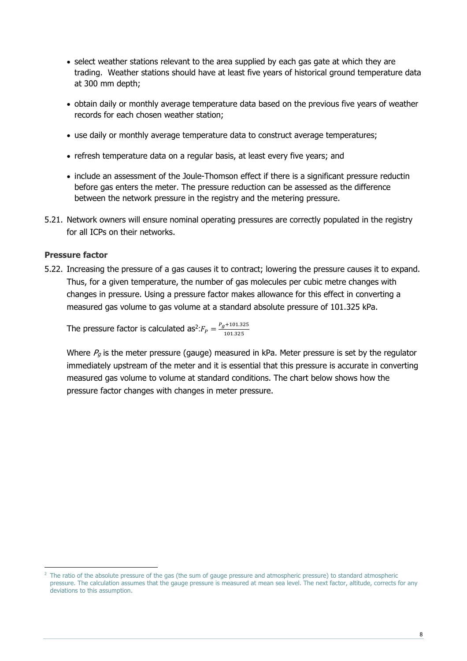- select weather stations relevant to the area supplied by each gas gate at which they are trading. Weather stations should have at least five years of historical ground temperature data at 300 mm depth;
- obtain daily or monthly average temperature data based on the previous five years of weather records for each chosen weather station;
- use daily or monthly average temperature data to construct average temperatures;
- refresh temperature data on a regular basis, at least every five years; and
- include an assessment of the Joule-Thomson effect if there is a significant pressure reductin before gas enters the meter. The pressure reduction can be assessed as the difference between the network pressure in the registry and the metering pressure.
- 5.21. Network owners will ensure nominal operating pressures are correctly populated in the registry for all ICPs on their networks.

#### **Pressure factor**

-

5.22. Increasing the pressure of a gas causes it to contract; lowering the pressure causes it to expand. Thus, for a given temperature, the number of gas molecules per cubic metre changes with changes in pressure. Using a pressure factor makes allowance for this effect in converting a measured gas volume to gas volume at a standard absolute pressure of 101.325 kPa.

The pressure factor is calculated as $e^2$ : $F_P = \frac{P_g + 101.325}{101.325}$ 

Where  $P<sub>g</sub>$  is the meter pressure (gauge) measured in kPa. Meter pressure is set by the regulator immediately upstream of the meter and it is essential that this pressure is accurate in converting measured gas volume to volume at standard conditions. The chart below shows how the pressure factor changes with changes in meter pressure.

<sup>&</sup>lt;sup>2</sup> The ratio of the absolute pressure of the gas (the sum of gauge pressure and atmospheric pressure) to standard atmospheric pressure. The calculation assumes that the gauge pressure is measured at mean sea level. The next factor, altitude, corrects for any deviations to this assumption.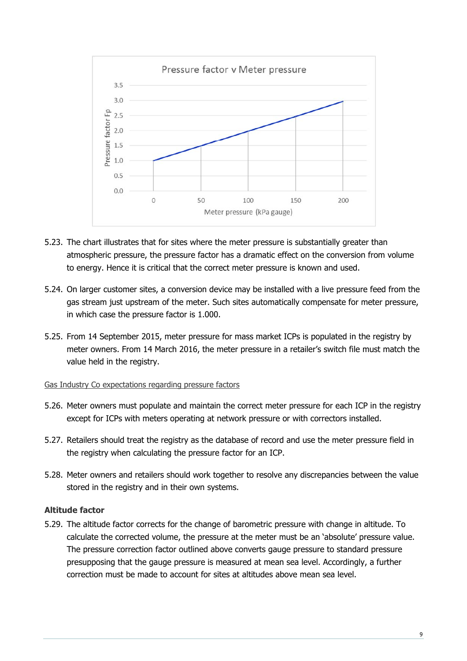

- 5.23. The chart illustrates that for sites where the meter pressure is substantially greater than atmospheric pressure, the pressure factor has a dramatic effect on the conversion from volume to energy. Hence it is critical that the correct meter pressure is known and used.
- 5.24. On larger customer sites, a conversion device may be installed with a live pressure feed from the gas stream just upstream of the meter. Such sites automatically compensate for meter pressure, in which case the pressure factor is 1.000.
- 5.25. From 14 September 2015, meter pressure for mass market ICPs is populated in the registry by meter owners. From 14 March 2016, the meter pressure in a retailer's switch file must match the value held in the registry.

#### Gas Industry Co expectations regarding pressure factors

- 5.26. Meter owners must populate and maintain the correct meter pressure for each ICP in the registry except for ICPs with meters operating at network pressure or with correctors installed.
- 5.27. Retailers should treat the registry as the database of record and use the meter pressure field in the registry when calculating the pressure factor for an ICP.
- 5.28. Meter owners and retailers should work together to resolve any discrepancies between the value stored in the registry and in their own systems.

#### **Altitude factor**

5.29. The altitude factor corrects for the change of barometric pressure with change in altitude. To calculate the corrected volume, the pressure at the meter must be an 'absolute' pressure value. The pressure correction factor outlined above converts gauge pressure to standard pressure presupposing that the gauge pressure is measured at mean sea level. Accordingly, a further correction must be made to account for sites at altitudes above mean sea level.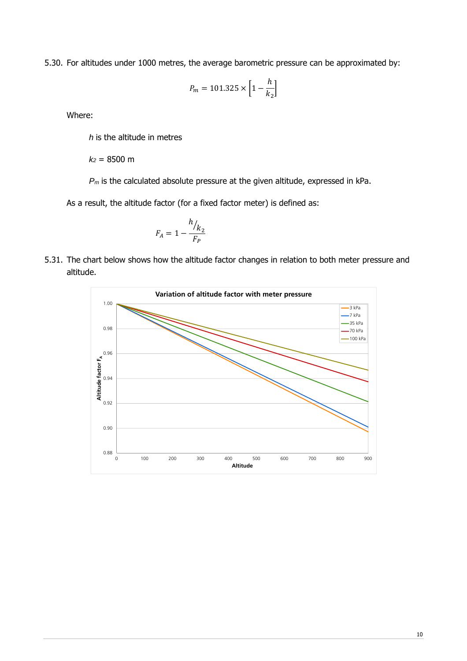5.30. For altitudes under 1000 metres, the average barometric pressure can be approximated by:

$$
P_m = 101.325 \times \left[1 - \frac{h}{k_2}\right]
$$

Where:

*h* is the altitude in metres

*k2* = 8500 m

*Pm* is the calculated absolute pressure at the given altitude, expressed in kPa.

As a result, the altitude factor (for a fixed factor meter) is defined as:

$$
F_A = 1 - \frac{h_{k_2}}{F_P}
$$

5.31. The chart below shows how the altitude factor changes in relation to both meter pressure and altitude.

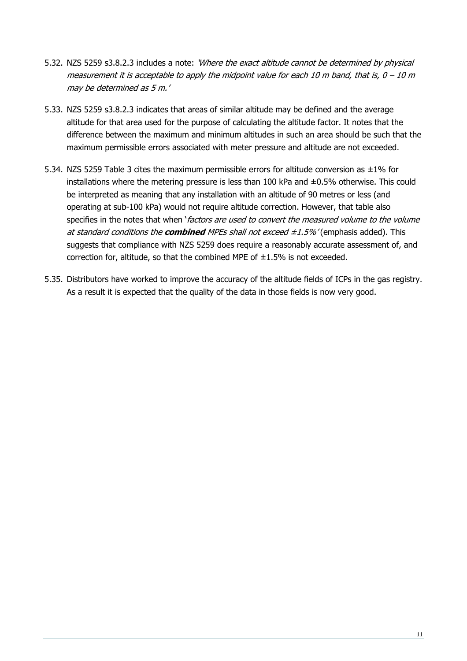- 5.32. NZS 5259 s3.8.2.3 includes a note: 'Where the exact altitude cannot be determined by physical measurement it is acceptable to apply the midpoint value for each 10 m band, that is,  $0 - 10$  m may be determined as 5 m.'
- 5.33. NZS 5259 s3.8.2.3 indicates that areas of similar altitude may be defined and the average altitude for that area used for the purpose of calculating the altitude factor. It notes that the difference between the maximum and minimum altitudes in such an area should be such that the maximum permissible errors associated with meter pressure and altitude are not exceeded.
- 5.34. NZS 5259 Table 3 cites the maximum permissible errors for altitude conversion as ±1% for installations where the metering pressure is less than  $100$  kPa and  $\pm 0.5\%$  otherwise. This could be interpreted as meaning that any installation with an altitude of 90 metres or less (and operating at sub-100 kPa) would not require altitude correction. However, that table also specifies in the notes that when 'factors are used to convert the measured volume to the volume at standard conditions the **combined** MPEs shall not exceed ±1.5%' (emphasis added). This suggests that compliance with NZS 5259 does require a reasonably accurate assessment of, and correction for, altitude, so that the combined MPE of  $\pm 1.5\%$  is not exceeded.
- 5.35. Distributors have worked to improve the accuracy of the altitude fields of ICPs in the gas registry. As a result it is expected that the quality of the data in those fields is now very good.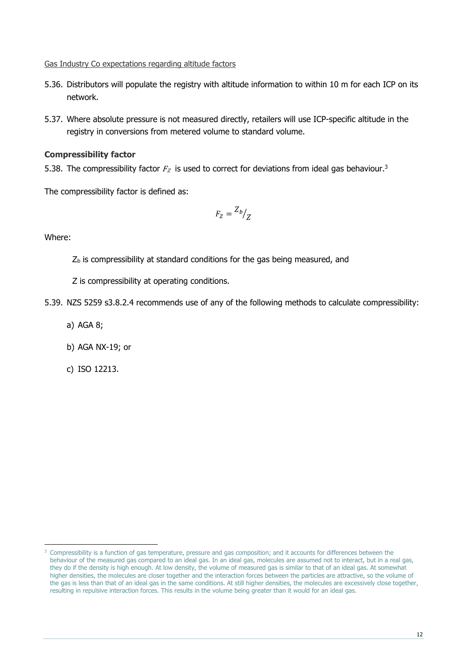#### Gas Industry Co expectations regarding altitude factors

- 5.36. Distributors will populate the registry with altitude information to within 10 m for each ICP on its network.
- 5.37. Where absolute pressure is not measured directly, retailers will use ICP-specific altitude in the registry in conversions from metered volume to standard volume.

## **Compressibility factor**

5.38. The compressibility factor  $F<sub>Z</sub>$  is used to correct for deviations from ideal gas behaviour.<sup>3</sup>

The compressibility factor is defined as:

$$
F_Z = \frac{Z_b}{Z}
$$

Where:

- $Z<sub>b</sub>$  is compressibility at standard conditions for the gas being measured, and
- Z is compressibility at operating conditions.
- 5.39. NZS 5259 s3.8.2.4 recommends use of any of the following methods to calculate compressibility:
	- a) AGA 8;
	- b) AGA NX-19; or
	- c) ISO 12213.

 <sup>3</sup> Compressibility is a function of gas temperature, pressure and gas composition; and it accounts for differences between the behaviour of the measured gas compared to an ideal gas. In an ideal gas, molecules are assumed not to interact, but in a real gas, they do if the density is high enough. At low density, the volume of measured gas is similar to that of an ideal gas. At somewhat higher densities, the molecules are closer together and the interaction forces between the particles are attractive, so the volume of the gas is less than that of an ideal gas in the same conditions. At still higher densities, the molecules are excessively close together, resulting in repulsive interaction forces. This results in the volume being greater than it would for an ideal gas.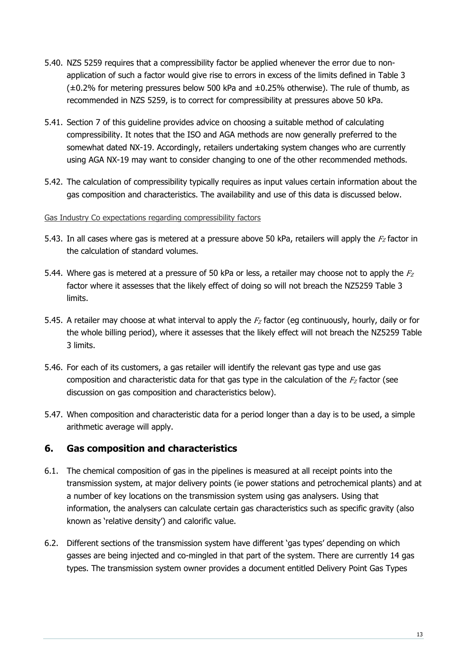- 5.40. NZS 5259 requires that a compressibility factor be applied whenever the error due to nonapplication of such a factor would give rise to errors in excess of the limits defined in Table 3  $(±0.2%$  for metering pressures below 500 kPa and  $±0.25%$  otherwise). The rule of thumb, as recommended in NZS 5259, is to correct for compressibility at pressures above 50 kPa.
- 5.41. Section 7 of this guideline provides advice on choosing a suitable method of calculating compressibility. It notes that the ISO and AGA methods are now generally preferred to the somewhat dated NX-19. Accordingly, retailers undertaking system changes who are currently using AGA NX-19 may want to consider changing to one of the other recommended methods.
- 5.42. The calculation of compressibility typically requires as input values certain information about the gas composition and characteristics. The availability and use of this data is discussed below.

#### Gas Industry Co expectations regarding compressibility factors

- 5.43. In all cases where gas is metered at a pressure above 50 kPa, retailers will apply the  $F<sub>Z</sub>$  factor in the calculation of standard volumes.
- 5.44. Where gas is metered at a pressure of 50 kPa or less, a retailer may choose not to apply the  $F<sub>Z</sub>$ factor where it assesses that the likely effect of doing so will not breach the NZ5259 Table 3 limits.
- 5.45. A retailer may choose at what interval to apply the  $F_Z$  factor (eg continuously, hourly, daily or for the whole billing period), where it assesses that the likely effect will not breach the NZ5259 Table 3 limits.
- 5.46. For each of its customers, a gas retailer will identify the relevant gas type and use gas composition and characteristic data for that gas type in the calculation of the  $F<sub>Z</sub>$  factor (see discussion on gas composition and characteristics below).
- 5.47. When composition and characteristic data for a period longer than a day is to be used, a simple arithmetic average will apply.

## **6. Gas composition and characteristics**

- 6.1. The chemical composition of gas in the pipelines is measured at all receipt points into the transmission system, at major delivery points (ie power stations and petrochemical plants) and at a number of key locations on the transmission system using gas analysers. Using that information, the analysers can calculate certain gas characteristics such as specific gravity (also known as 'relative density') and calorific value.
- 6.2. Different sections of the transmission system have different 'gas types' depending on which gasses are being injected and co-mingled in that part of the system. There are currently 14 gas types. The transmission system owner provides a document entitled Delivery Point Gas Types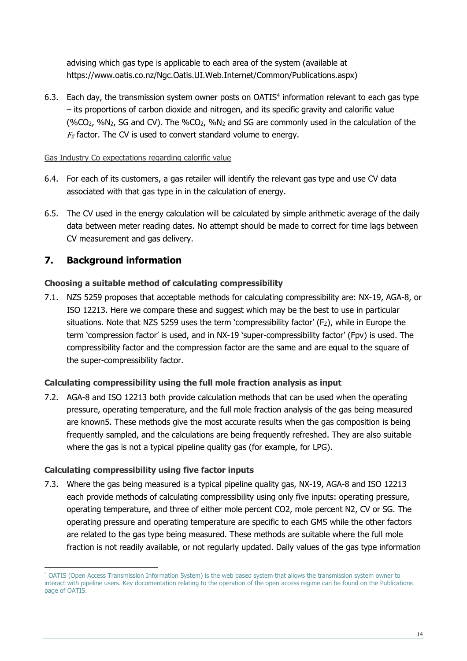advising which gas type is applicable to each area of the system (available at https://www.oatis.co.nz/Ngc.Oatis.UI.Web.Internet/Common/Publications.aspx)

6.3. Each day, the transmission system owner posts on OATIS<sup>4</sup> information relevant to each gas type – its proportions of carbon dioxide and nitrogen, and its specific gravity and calorific value (%CO2, %N2, SG and CV). The %CO2, %N2 and SG are commonly used in the calculation of the  $F<sub>Z</sub>$  factor. The CV is used to convert standard volume to energy.

#### Gas Industry Co expectations regarding calorific value

- 6.4. For each of its customers, a gas retailer will identify the relevant gas type and use CV data associated with that gas type in in the calculation of energy.
- 6.5. The CV used in the energy calculation will be calculated by simple arithmetic average of the daily data between meter reading dates. No attempt should be made to correct for time lags between CV measurement and gas delivery.

# **7. Background information**

## **Choosing a suitable method of calculating compressibility**

7.1. NZS 5259 proposes that acceptable methods for calculating compressibility are: NX-19, AGA-8, or ISO 12213. Here we compare these and suggest which may be the best to use in particular situations. Note that NZS 5259 uses the term 'compressibility factor' (Fz), while in Europe the term 'compression factor' is used, and in NX-19 'super-compressibility factor' (Fpv) is used. The compressibility factor and the compression factor are the same and are equal to the square of the super-compressibility factor.

## **Calculating compressibility using the full mole fraction analysis as input**

7.2. AGA-8 and ISO 12213 both provide calculation methods that can be used when the operating pressure, operating temperature, and the full mole fraction analysis of the gas being measured are known5. These methods give the most accurate results when the gas composition is being frequently sampled, and the calculations are being frequently refreshed. They are also suitable where the gas is not a typical pipeline quality gas (for example, for LPG).

## **Calculating compressibility using five factor inputs**

 $\overline{a}$ 

7.3. Where the gas being measured is a typical pipeline quality gas, NX-19, AGA-8 and ISO 12213 each provide methods of calculating compressibility using only five inputs: operating pressure, operating temperature, and three of either mole percent CO2, mole percent N2, CV or SG. The operating pressure and operating temperature are specific to each GMS while the other factors are related to the gas type being measured. These methods are suitable where the full mole fraction is not readily available, or not regularly updated. Daily values of the gas type information

<sup>4</sup> OATIS (Open Access Transmission Information System) is the web based system that allows the transmission system owner to interact with pipeline users. Key documentation relating to the operation of the open access regime can be found on the Publications page of OATIS.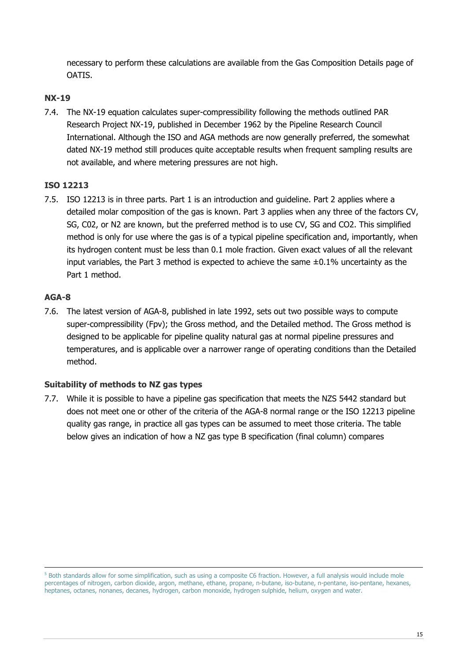necessary to perform these calculations are available from the Gas Composition Details page of OATIS.

## **NX-19**

7.4. The NX-19 equation calculates super-compressibility following the methods outlined PAR Research Project NX-19, published in December 1962 by the Pipeline Research Council International. Although the ISO and AGA methods are now generally preferred, the somewhat dated NX-19 method still produces quite acceptable results when frequent sampling results are not available, and where metering pressures are not high.

## **ISO 12213**

7.5. ISO 12213 is in three parts. Part 1 is an introduction and guideline. Part 2 applies where a detailed molar composition of the gas is known. Part 3 applies when any three of the factors CV, SG, C02, or N2 are known, but the preferred method is to use CV, SG and CO2. This simplified method is only for use where the gas is of a typical pipeline specification and, importantly, when its hydrogen content must be less than 0.1 mole fraction. Given exact values of all the relevant input variables, the Part 3 method is expected to achieve the same  $\pm 0.1$ % uncertainty as the Part 1 method.

## **AGA-8**

7.6. The latest version of AGA-8, published in late 1992, sets out two possible ways to compute super-compressibility (Fpv); the Gross method, and the Detailed method. The Gross method is designed to be applicable for pipeline quality natural gas at normal pipeline pressures and temperatures, and is applicable over a narrower range of operating conditions than the Detailed method.

## **Suitability of methods to NZ gas types**

7.7. While it is possible to have a pipeline gas specification that meets the NZS 5442 standard but does not meet one or other of the criteria of the AGA-8 normal range or the ISO 12213 pipeline quality gas range, in practice all gas types can be assumed to meet those criteria. The table below gives an indication of how a NZ gas type B specification (final column) compares

<sup>-&</sup>lt;br>5 <sup>5</sup> Both standards allow for some simplification, such as using a composite C6 fraction. However, a full analysis would include mole percentages of nitrogen, carbon dioxide, argon, methane, ethane, propane, n-butane, iso-butane, n-pentane, iso-pentane, hexanes, heptanes, octanes, nonanes, decanes, hydrogen, carbon monoxide, hydrogen sulphide, helium, oxygen and water.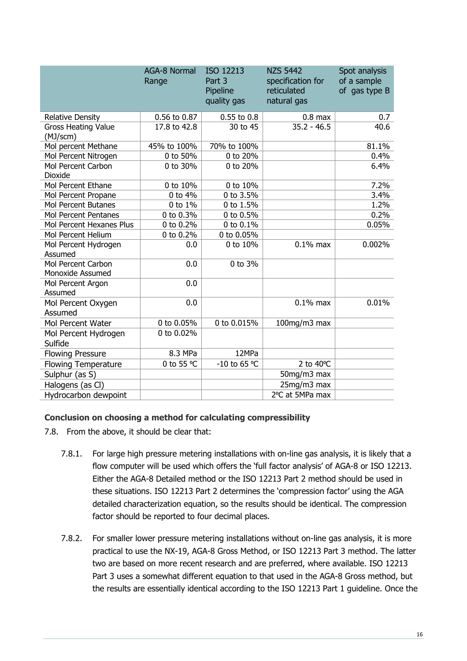|                                               | <b>AGA-8 Normal</b><br>Range | ISO 12213<br>Part 3<br>Pipeline<br>quality gas | <b>NZS 5442</b><br>specification for<br>reticulated<br>natural gas | Spot analysis<br>of a sample<br>of gas type B |
|-----------------------------------------------|------------------------------|------------------------------------------------|--------------------------------------------------------------------|-----------------------------------------------|
| Relative Density                              | 0.56 to 0.87                 | 0.55 to 0.8                                    | $0.8$ max                                                          | 0.7                                           |
| <b>Gross Heating Value</b><br>(MJ/scm)        | 17.8 to 42.8                 | 30 to 45                                       | $35.2 - 46.5$                                                      | 40.6                                          |
| Mol percent Methane                           | 45% to 100%                  | 70% to 100%                                    |                                                                    | 81.1%                                         |
| Mol Percent Nitrogen                          | 0 to 50%                     | 0 to 20%                                       |                                                                    | 0.4%                                          |
| Mol Percent Carbon<br>Dioxide                 | 0 to 30%                     | 0 to 20%                                       |                                                                    | 6.4%                                          |
| Mol Percent Ethane                            | 0 to 10%                     | $0$ to $10\%$                                  |                                                                    | 7.2%                                          |
| Mol Percent Propane                           | 0 to 4%                      | 0 to 3.5%                                      |                                                                    | 3.4%                                          |
| <b>Mol Percent Butanes</b>                    | 0 to 1%                      | 0 to 1.5%                                      |                                                                    | 1.2%                                          |
| <b>Mol Percent Pentanes</b>                   | 0 to 0.3%                    | 0 to 0.5%                                      |                                                                    | 0.2%                                          |
| Mol Percent Hexanes Plus                      | 0 to 0.2%                    | 0 to 0.1%                                      |                                                                    | 0.05%                                         |
| Mol Percent Helium                            | 0 to 0.2%                    | 0 to 0.05%                                     |                                                                    |                                               |
| Mol Percent Hydrogen<br>Assumed               | 0.0                          | 0 to 10%                                       | $0.1\%$ max                                                        | 0.002%                                        |
| <b>Mol Percent Carbon</b><br>Monoxide Assumed | 0.0                          | 0 to 3%                                        |                                                                    |                                               |
| Mol Percent Argon<br>Assumed                  | 0.0                          |                                                |                                                                    |                                               |
| Mol Percent Oxygen<br>Assumed                 | 0.0                          |                                                | $0.1\%$ max                                                        | 0.01%                                         |
| Mol Percent Water                             | 0 to 0.05%                   | 0 to 0.015%                                    | 100mg/m3 max                                                       |                                               |
| Mol Percent Hydrogen<br>Sulfide               | 0 to 0.02%                   |                                                |                                                                    |                                               |
| <b>Flowing Pressure</b>                       | 8.3 MPa                      | 12MPa                                          |                                                                    |                                               |
| <b>Flowing Temperature</b>                    | 0 to 55 °C                   | -10 to 65 °C                                   | 2 to 40°C                                                          |                                               |
| Sulphur (as S)                                |                              |                                                | 50mg/m3 max                                                        |                                               |
| Halogens (as Cl)                              |                              |                                                | 25mg/m3 max                                                        |                                               |
| Hydrocarbon dewpoint                          |                              |                                                | 2°C at 5MPa max                                                    |                                               |

#### **Conclusion on choosing a method for calculating compressibility**

- 7.8. From the above, it should be clear that:
	- 7.8.1. For large high pressure metering installations with on-line gas analysis, it is likely that a flow computer will be used which offers the 'full factor analysis' of AGA-8 or ISO 12213. Either the AGA-8 Detailed method or the ISO 12213 Part 2 method should be used in these situations. ISO 12213 Part 2 determines the 'compression factor' using the AGA detailed characterization equation, so the results should be identical. The compression factor should be reported to four decimal places.
	- 7.8.2. For smaller lower pressure metering installations without on-line gas analysis, it is more practical to use the NX-19, AGA-8 Gross Method, or ISO 12213 Part 3 method. The latter two are based on more recent research and are preferred, where available. ISO 12213 Part 3 uses a somewhat different equation to that used in the AGA-8 Gross method, but the results are essentially identical according to the ISO 12213 Part 1 guideline. Once the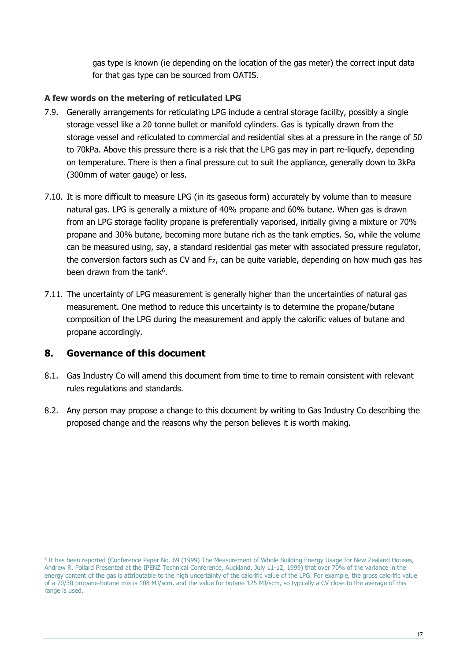gas type is known (ie depending on the location of the gas meter) the correct input data for that gas type can be sourced from OATIS.

## **A few words on the metering of reticulated LPG**

- 7.9. Generally arrangements for reticulating LPG include a central storage facility, possibly a single storage vessel like a 20 tonne bullet or manifold cylinders. Gas is typically drawn from the storage vessel and reticulated to commercial and residential sites at a pressure in the range of 50 to 70kPa. Above this pressure there is a risk that the LPG gas may in part re-liquefy, depending on temperature. There is then a final pressure cut to suit the appliance, generally down to 3kPa (300mm of water gauge) or less.
- 7.10. It is more difficult to measure LPG (in its gaseous form) accurately by volume than to measure natural gas. LPG is generally a mixture of 40% propane and 60% butane. When gas is drawn from an LPG storage facility propane is preferentially vaporised, initially giving a mixture or 70% propane and 30% butane, becoming more butane rich as the tank empties. So, while the volume can be measured using, say, a standard residential gas meter with associated pressure regulator, the conversion factors such as CV and Fz, can be quite variable, depending on how much gas has been drawn from the tank<sup>6</sup>.
- 7.11. The uncertainty of LPG measurement is generally higher than the uncertainties of natural gas measurement. One method to reduce this uncertainty is to determine the propane/butane composition of the LPG during the measurement and apply the calorific values of butane and propane accordingly.

## **8. Governance of this document**

- 8.1. Gas Industry Co will amend this document from time to time to remain consistent with relevant rules regulations and standards.
- 8.2. Any person may propose a change to this document by writing to Gas Industry Co describing the proposed change and the reasons why the person believes it is worth making.

<sup>&</sup>lt;sup>6</sup> It has been reported (Conference Paper No. 69 (1999) The Measurement of Whole Building Energy Usage for New Zealand Houses, Andrew R. Pollard Presented at the IPENZ Technical Conference, Auckland, July 11-12, 1999) that over 70% of the variance in the energy content of the gas is attributable to the high uncertainty of the calorific value of the LPG. For example, the gross calorific value of a 70/30 propane-butane mix is 108 MJ/scm, and the value for butane 125 MJ/scm, so typically a CV close to the average of this range is used.